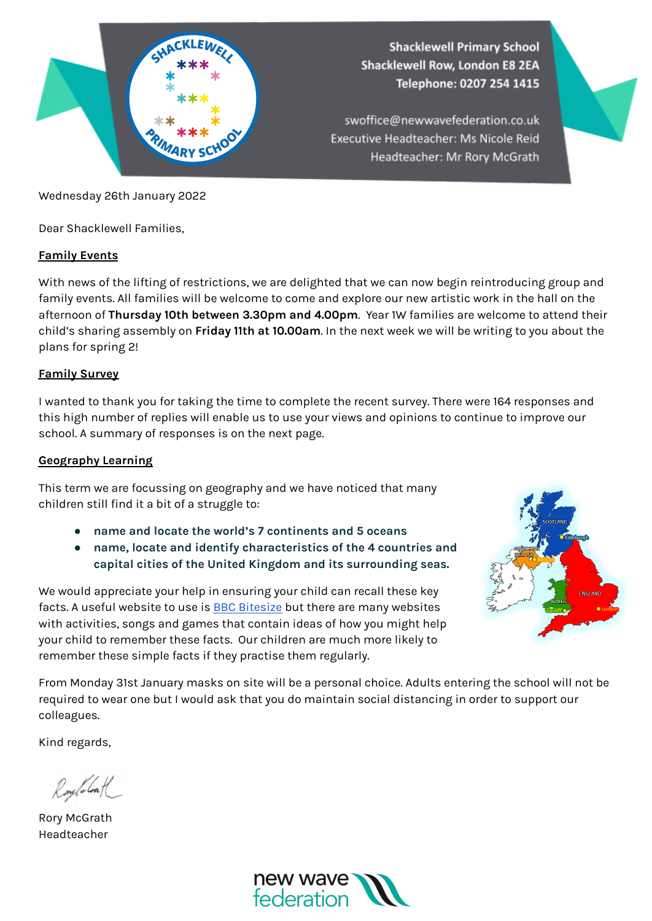

Wednesday 26th January 2022

Dear Shacklewell Families,

## **Family Events**

With news of the lifting of restrictions, we are delighted that we can now begin reintroducing group and family events. All families will be welcome to come and explore our new artistic work in the hall on the afternoon of **Thursday 10th between 3.30pm and 4.00pm**. Year 1W families are welcome to attend their child's sharing assembly on **Friday 11th at 10.00am**. In the next week we will be writing to you about the plans for spring 2!

## **Family Survey**

I wanted to thank you for taking the time to complete the recent survey. There were 164 responses and this high number of replies will enable us to use your views and opinions to continue to improve our school. A summary of responses is on the next page.

## **Geography Learning**

This term we are focussing on geography and we have noticed that many children still find it a bit of a struggle to:

- **● name and locate the world's 7 continents and 5 oceans**
- **● name, locate and identify characteristics of the 4 countries and capital cities of the United Kingdom and its surrounding seas.**

We would appreciate your help in ensuring your child can recall these key facts. A useful website to use is BBC [Bitesize](https://www.bbc.co.uk/bitesize/subjects/zcdqxnb) but there are many websites with activities, songs and games that contain ideas of how you might help your child to remember these facts. Our children are much more likely to remember these simple facts if they practise them regularly.



From Monday 31st January masks on site will be a personal choice. Adults entering the school will not be required to wear one but I would ask that you do maintain social distancing in order to support our colleagues.

Kind regards,

Roylolath

Rory McGrath Headteacher